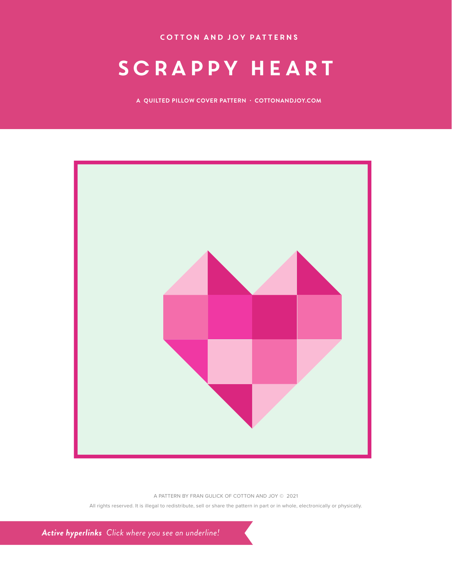COTTON and JOY patterns

## SCRAPPY HEART

**A QUILTED PILLOW COVER PATTERN · COTTONANDJOY.COM**



A PATTERN BY FRAN GULICK OF COTTON AND JOY © 2021

All rights reserved. It is illegal to redistribute, sell or share the pattern in part or in whole, electronically or physically.

*Active hyperlinks Click where you see an underline!*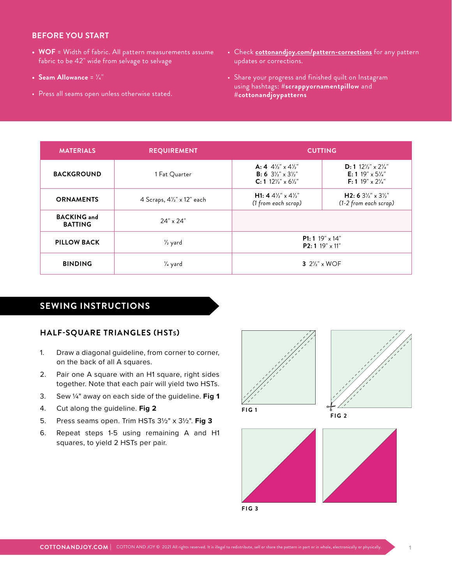#### **BEFORE YOU START**

- **• WOF** = Width of fabric. All pattern measurements assume fabric to be 42" wide from selvage to selvage
- **Seam Allowance** =  $\frac{1}{4}$ "
- Press all seams open unless otherwise stated.
- Check **[cottonandjoy.com/pattern-corrections](http://cottonandjoy.com/pattern-corrections)** for any pattern updates or corrections.
- Share your progress and finished quilt on Instagram using hashtags: **#scrappyornamentpillow** and **#cottonandjoypatterns**

| <b>MATERIALS</b>                     | <b>REQUIREMENT</b>         | <b>CUTTING</b>                                                                                                                                                         |                                                                                                                                                  |
|--------------------------------------|----------------------------|------------------------------------------------------------------------------------------------------------------------------------------------------------------------|--------------------------------------------------------------------------------------------------------------------------------------------------|
| <b>BACKGROUND</b>                    | 1 Fat Quarter              | A: 4 $4\frac{1}{2}$ x $4\frac{1}{2}$ "<br><b>B:</b> 6 $3\frac{1}{2}$ " x $3\frac{1}{2}$ "<br>$C: 1$ 12 <sup>'</sup> / <sub>2</sub> " x 6 <sup>'</sup> / <sub>2</sub> " | $D: 1$ 12 <sup>'</sup> /s' x 2 <sup>'</sup> / <sub>4</sub> "<br><b>E:</b> 1 19" x $5\frac{1}{4}$ "<br><b>F:</b> 1 19" $\times$ 2 $\frac{1}{4}$ " |
| <b>ORNAMENTS</b>                     | 4 Scraps, 41/2" x 12" each | <b>H1: 4</b> 4 <sup>1</sup> / <sub>2</sub> " $\times$ 4 <sup>1</sup> / <sub>2</sub> "<br>(1 from each scrap)                                                           | H2: 6 $3\frac{1}{2}$ " x $3\frac{1}{2}$ "<br>(1-2 from each scrap)                                                                               |
| <b>BACKING</b> and<br><b>BATTING</b> | 24" x 24"                  |                                                                                                                                                                        |                                                                                                                                                  |
| <b>PILLOW BACK</b>                   | 1/ <sub>2</sub> yard       | <b>P1:</b> 1 19" $\times$ 14"<br>P2: 1 19" x 11"                                                                                                                       |                                                                                                                                                  |
| <b>BINDING</b>                       | 1/ <sub>4</sub> yard       | 3 $2\frac{1}{2}$ x WOF                                                                                                                                                 |                                                                                                                                                  |

### **SEWING INSTRUCTIONS**

#### **HALF-SQUARE TRIANGLES (HSTs)**

- 1. Draw a diagonal guideline, from corner to corner, on the back of all A squares.
- 2. Pair one A square with an H1 square, right sides together. Note that each pair will yield two HSTs.
- 3. Sew 1/4" away on each side of the guideline. **Fig 1**
- 4. Cut along the guideline. **Fig 2**
- 5. Press seams open. Trim HSTs 31/2" x 31/2". **Fig 3**
- 6. Repeat steps 1-5 using remaining A and H1 squares, to yield 2 HSTs per pair.





**FIG 2**



**FIG 3**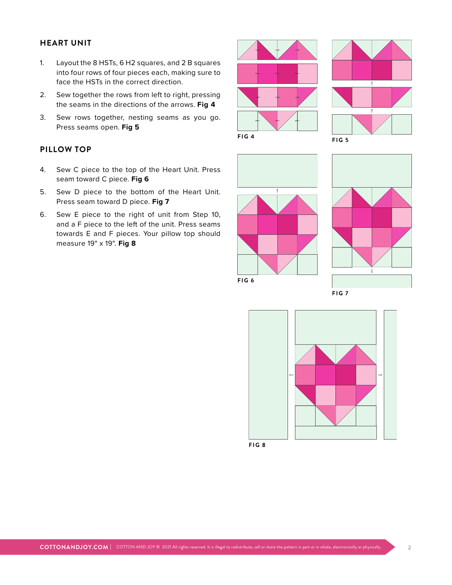#### **HEART UNIT**

- 1. Layout the 8 HSTs, 6 H2 squares, and 2 B squares into four rows of four pieces each, making sure to face the HSTs in the correct direction.
- 2. Sew together the rows from left to right, pressing the seams in the directions of the arrows. **Fig 4**
- 3. Sew rows together, nesting seams as you go. Press seams open. **Fig 5**

#### **PILLOW TOP**

- 4. Sew C piece to the top of the Heart Unit. Press seam toward C piece. **Fig 6**
- 5. Sew D piece to the bottom of the Heart Unit. Press seam toward D piece. **Fig 7**
- 6. Sew E piece to the right of unit from Step 10, and a F piece to the left of the unit. Press seams towards E and F pieces. Your pillow top should measure 19" x 19". **Fig 8**









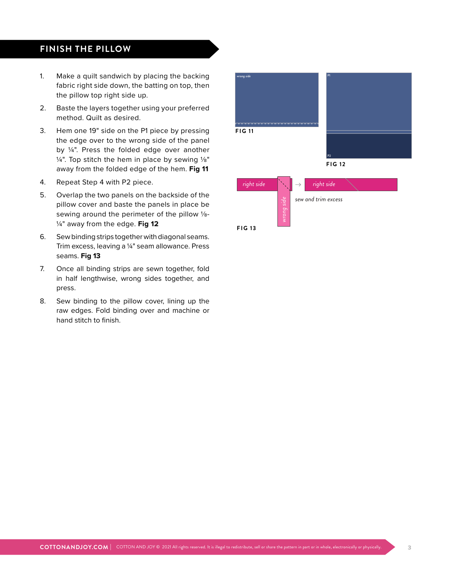## **FINISH THE PILLOW**

- 1. Make a quilt sandwich by placing the backing fabric right side down, the batting on top, then the pillow top right side up.
- 2. Baste the layers together using your preferred method. Quilt as desired.
- 3. Hem one 19" side on the P1 piece by pressing the edge over to the wrong side of the panel by 1/4". Press the folded edge over another  $1/4$ ". Top stitch the hem in place by sewing  $1/8$ " away from the folded edge of the hem. **Fig 11**
- 4. Repeat Step 4 with P2 piece.
- 5. Overlap the two panels on the backside of the pillow cover and baste the panels in place be sewing around the perimeter of the pillow 1/8-1/4" away from the edge. **Fig 12**
- 6. Sew binding strips together with diagonal seams. Trim excess, leaving a 1/4" seam allowance. Press seams. **Fig 13**
- 7. Once all binding strips are sewn together, fold in half lengthwise, wrong sides together, and press.
- 8. Sew binding to the pillow cover, lining up the raw edges. Fold binding over and machine or hand stitch to finish.